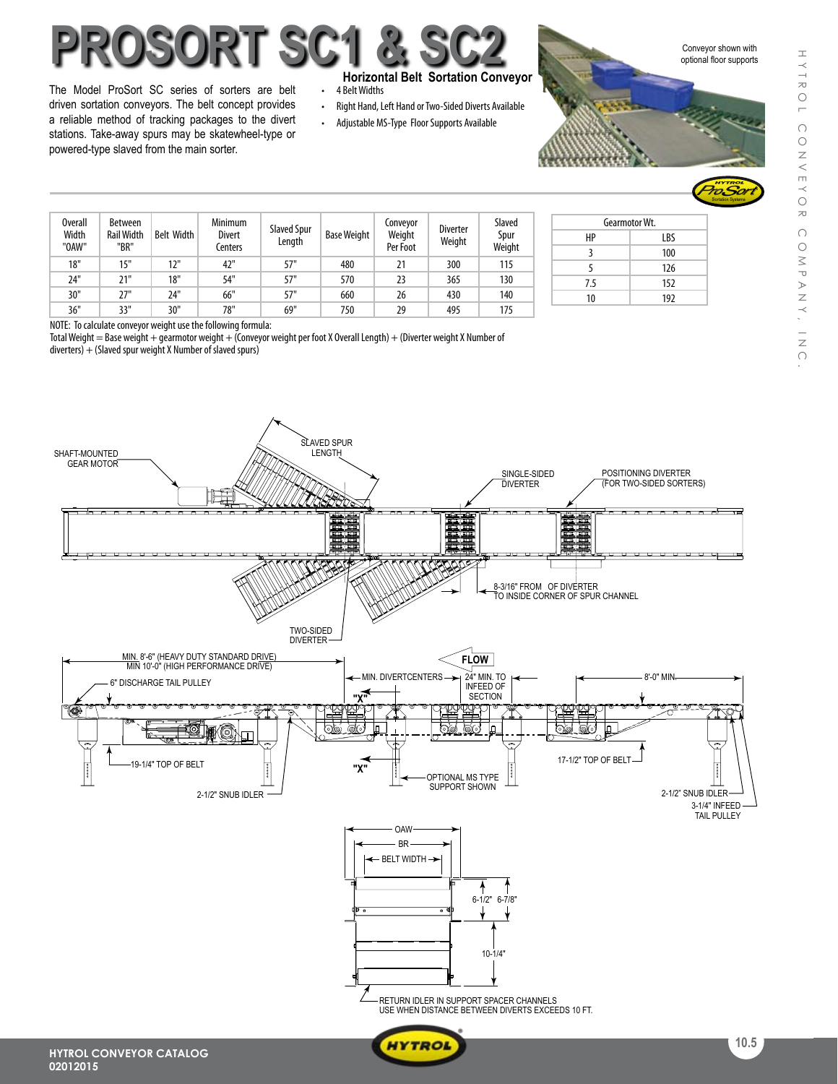# **ProSort SC1 & SC2**

The Model ProSort SC series of sorters are belt driven sortation conveyors. The belt concept provides a reliable method of tracking packages to the divert stations. Take-away spurs may be skatewheel-type or powered-type slaved from the main sorter.

#### **Horizontal Belt Sortation Conveyor**

- 4 Belt Widths
- Right Hand, Left Hand or Two-Sided Diverts Available
- Adjustable MS-Type Floor Supports Available

Conveyor shown with optional floor supports



| Overall<br>Width<br>"OAW" | <b>Between</b><br><b>Rail Width</b><br>"BR" | <b>Belt Width</b> | Minimum<br><b>Divert</b><br>Centers | Slaved Spur<br>Length | <b>Base Weight</b> | Conveyor<br>Weight<br>Per Foot | <b>Diverter</b><br>Weight | Slaved<br>Spur<br>Weight |
|---------------------------|---------------------------------------------|-------------------|-------------------------------------|-----------------------|--------------------|--------------------------------|---------------------------|--------------------------|
| 18"                       | 15"                                         | 12"               | 42"                                 | 57"                   | 480                | 21                             | 300                       | 115                      |
| 24"                       | 21"                                         | 18"               | 54"                                 | 57"                   | 570                | 23                             | 365                       | 130                      |
| 30"                       | 27"                                         | 24"               | 66"                                 | 57"                   | 660                | 26                             | 430                       | 140                      |
| 36"                       | 33"                                         | 30"               | 78"                                 | 69"                   | 750                | 29                             | 495                       | 175                      |

|     | Gearmotor Wt. |  |  |  |  |
|-----|---------------|--|--|--|--|
| HP  | LBS           |  |  |  |  |
| 3   | 100           |  |  |  |  |
| 5   | 126           |  |  |  |  |
| 7.5 | 152           |  |  |  |  |
| 10  | 192           |  |  |  |  |

NOTE: To calculate conveyor weight use the following formula:

Total Weight = Base weight + gearmotor weight + (Conveyor weight per foot X Overall Length) + (Diverter weight X Number of  $diverters$ ) + (Slaved spur weight X Number of slaved spurs)